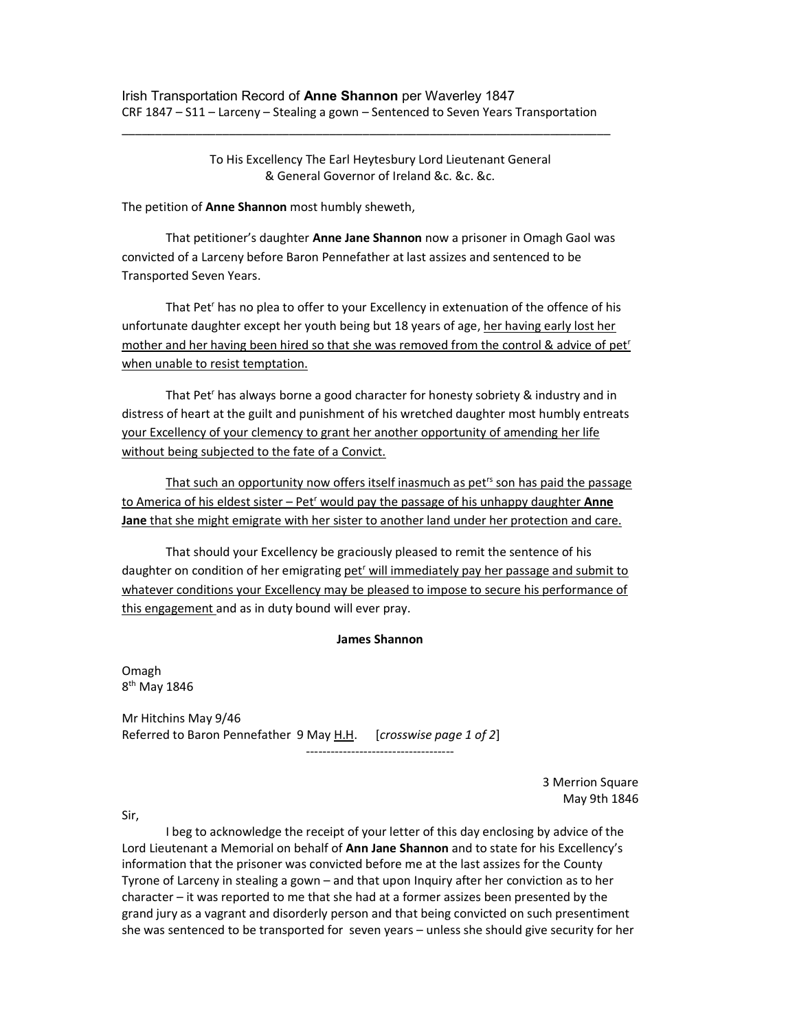\_\_\_\_\_\_\_\_\_\_\_\_\_\_\_\_\_\_\_\_\_\_\_\_\_\_\_\_\_\_\_\_\_\_\_\_\_\_\_\_\_\_\_\_\_\_\_\_\_\_\_\_\_\_\_\_\_\_\_\_\_\_\_\_\_\_\_\_\_\_\_\_\_

 To His Excellency The Earl Heytesbury Lord Lieutenant General & General Governor of Ireland &c. &c. &c.

The petition of Anne Shannon most humbly sheweth,

 That petitioner's daughter Anne Jane Shannon now a prisoner in Omagh Gaol was convicted of a Larceny before Baron Pennefather at last assizes and sentenced to be Transported Seven Years.

That Pet<sup>r</sup> has no plea to offer to your Excellency in extenuation of the offence of his unfortunate daughter except her youth being but 18 years of age, her having early lost her mother and her having been hired so that she was removed from the control & advice of pet<sup>r</sup> when unable to resist temptation.

That Pet<sup>r</sup> has always borne a good character for honesty sobriety & industry and in distress of heart at the guilt and punishment of his wretched daughter most humbly entreats your Excellency of your clemency to grant her another opportunity of amending her life without being subjected to the fate of a Convict.

That such an opportunity now offers itself inasmuch as pet<sup>rs</sup> son has paid the passage to America of his eldest sister – Pet<sup>r</sup> would pay the passage of his unhappy daughter Anne Jane that she might emigrate with her sister to another land under her protection and care.

 That should your Excellency be graciously pleased to remit the sentence of his daughter on condition of her emigrating pet<sup>r</sup> will immediately pay her passage and submit to whatever conditions your Excellency may be pleased to impose to secure his performance of this engagement and as in duty bound will ever pray.

## James Shannon

Omagh 8<sup>th</sup> May 1846

Mr Hitchins May 9/46 Referred to Baron Pennefather 9 May H.H. [crosswise page 1 of 2] ------------------------------------

> 3 Merrion Square May 9th 1846

Sir,

 I beg to acknowledge the receipt of your letter of this day enclosing by advice of the Lord Lieutenant a Memorial on behalf of Ann Jane Shannon and to state for his Excellency's information that the prisoner was convicted before me at the last assizes for the County Tyrone of Larceny in stealing a gown – and that upon Inquiry after her conviction as to her character – it was reported to me that she had at a former assizes been presented by the grand jury as a vagrant and disorderly person and that being convicted on such presentiment she was sentenced to be transported for seven years – unless she should give security for her